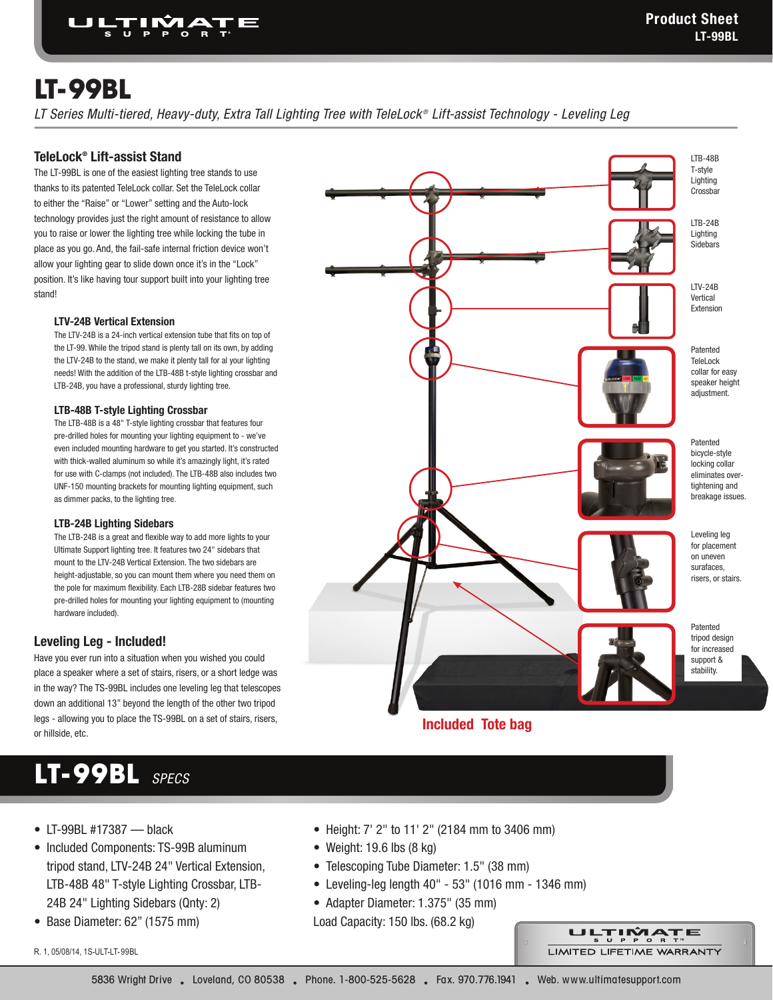LTB-48B

# **LT-99BL**

*LT Series Multi-tiered, Heavy-duty, Extra Tall Lighting Tree with TeleLock ® Lift-assist Technology - Leveling Leg* 

### **TeleLock® Lift-assist Stand**

The LT-99BL is one of the easiest lighting tree stands to use thanks to its patented TeleLock collar. Set the TeleLock collar to either the "Raise" or "Lower" setting and the Auto-lock technology provides just the right amount of resistance to allow you to raise or lower the lighting tree while locking the tube in place as you go. And, the fail-safe internal friction device won't allow your lighting gear to slide down once it's in the "Lock" position. It's like having tour support built into your lighting tree stand!

### **LTV-24B Vertical Extension**

The LTV-24B is a 24-inch vertical extension tube that fits on top of the LT-99. While the tripod stand is plenty tall on its own, by adding the LTV-24B to the stand, we make it plenty tall for al your lighting needs! With the addition of the LTB-48B t-style lighting crossbar and LTB-24B, you have a professional, sturdy lighting tree.

#### **LTB-48B T-style Lighting Crossbar**

 The LTB-48B is a 48" T-style lighting crossbar that features four pre-drilled holes for mounting your lighting equipment to - we've even included mounting hardware to get you started. It's constructed with thick-walled aluminum so while it's amazingly light, it's rated for use with C-clamps (not included). The LTB-48B also includes two UNF-150 mounting brackets for mounting lighting equipment, such as dimmer packs, to the lighting tree.

#### **LTB-24B Lighting Sidebars**

The LTB-24B is a great and flexible way to add more lights to your Ultimate Support lighting tree. It features two 24" sidebars that mount to the LTV-24B Vertical Extension. The two sidebars are height-adjustable, so you can mount them where you need them on the pole for maximum flexibility. Each LTB-28B sidebar features two pre-drilled holes for mounting your lighting equipment to (mounting hardware included).

### **Leveling Leg - Included!**

Have you ever run into a situation when you wished you could place a speaker where a set of stairs, risers, or a short ledge was in the way? The TS-99BL includes one leveling leg that telescopes down an additional 13" beyond the length of the other two tripod legs - allowing you to place the TS-99BL on a set of stairs, risers, or hillside, etc.

# **LT-99BL** *SPECS*

- LT-99BL #17387 black
- Included Components: TS-99B aluminum tripod stand, LTV-24B 24" Vertical Extension, LTB-48B 48" T-style Lighting Crossbar, LTB-24B 24" Lighting Sidebars (Qnty: 2)
- Base Diameter: 62" (1575 mm)

R. 1, 05/08/14, 1S-ULT-LT-99BL

Patented bicycle-style locking collar eliminates overtightening and breakage issues. T-style Lighting Crossbar LTB-24B Lighting Sidebars LTV-24B Vertical Extension Leveling leg for placement on uneven surafaces, risers, or stairs. Patented TeleLock collar for easy speaker height adjustment. Patented tripod design for increased support & stability.

**Included Tote bag**

- Height: 7' 2" to 11' 2" (2184 mm to 3406 mm)
- Weight: 19.6 lbs (8 kg)
- Telescoping Tube Diameter: 1.5" (38 mm)
- • Leveling-leg length 40" 53" (1016 mm 1346 mm)
- Adapter Diameter: 1.375" (35 mm)

Load Capacity: 150 lbs. (68.2 kg)

ULTIMATE LIMITED LIFETIME WARRANTY